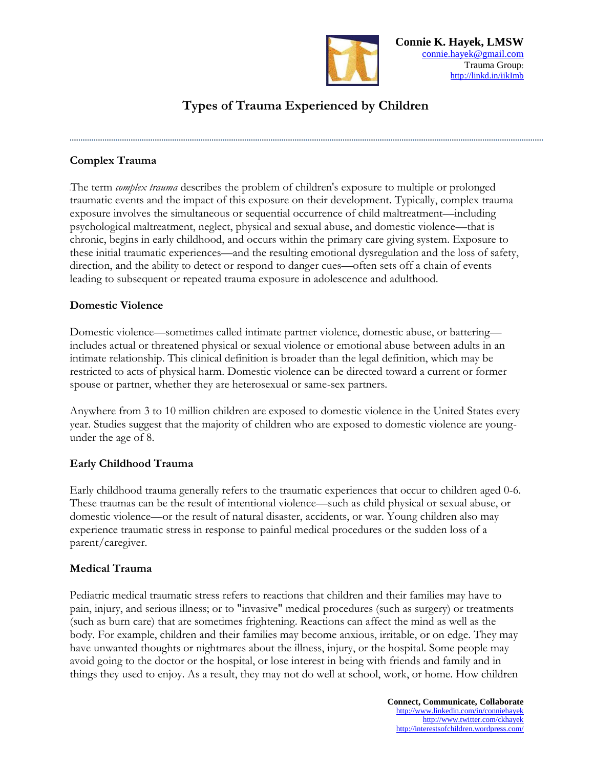

# **Types of Trauma Experienced by Children**

## **Complex Trauma**

The term *complex trauma* describes the problem of children's exposure to multiple or prolonged traumatic events and the impact of this exposure on their development. Typically, complex trauma exposure involves the simultaneous or sequential occurrence of child maltreatment—including psychological maltreatment, neglect, physical and sexual abuse, and domestic violence—that is chronic, begins in early childhood, and occurs within the primary care giving system. Exposure to these initial traumatic experiences—and the resulting emotional dysregulation and the loss of safety, direction, and the ability to detect or respond to danger cues—often sets off a chain of events leading to subsequent or repeated trauma exposure in adolescence and adulthood.

#### **Domestic Violence**

Domestic violence—sometimes called intimate partner violence, domestic abuse, or battering includes actual or threatened physical or sexual violence or emotional abuse between adults in an intimate relationship. This clinical definition is broader than the legal definition, which may be restricted to acts of physical harm. Domestic violence can be directed toward a current or former spouse or partner, whether they are heterosexual or same-sex partners.

Anywhere from 3 to 10 million children are exposed to domestic violence in the United States every year. Studies suggest that the majority of children who are exposed to domestic violence are youngunder the age of 8.

#### **Early Childhood Trauma**

Early childhood trauma generally refers to the traumatic experiences that occur to children aged 0-6. These traumas can be the result of intentional violence—such as child physical or sexual abuse, or domestic violence—or the result of natural disaster, accidents, or war. Young children also may experience traumatic stress in response to painful medical procedures or the sudden loss of a parent/caregiver.

#### **Medical Trauma**

Pediatric medical traumatic stress refers to reactions that children and their families may have to pain, injury, and serious illness; or to "invasive" medical procedures (such as surgery) or treatments (such as burn care) that are sometimes frightening. Reactions can affect the mind as well as the body. For example, children and their families may become anxious, irritable, or on edge. They may have unwanted thoughts or nightmares about the illness, injury, or the hospital. Some people may avoid going to the doctor or the hospital, or lose interest in being with friends and family and in things they used to enjoy. As a result, they may not do well at school, work, or home. How children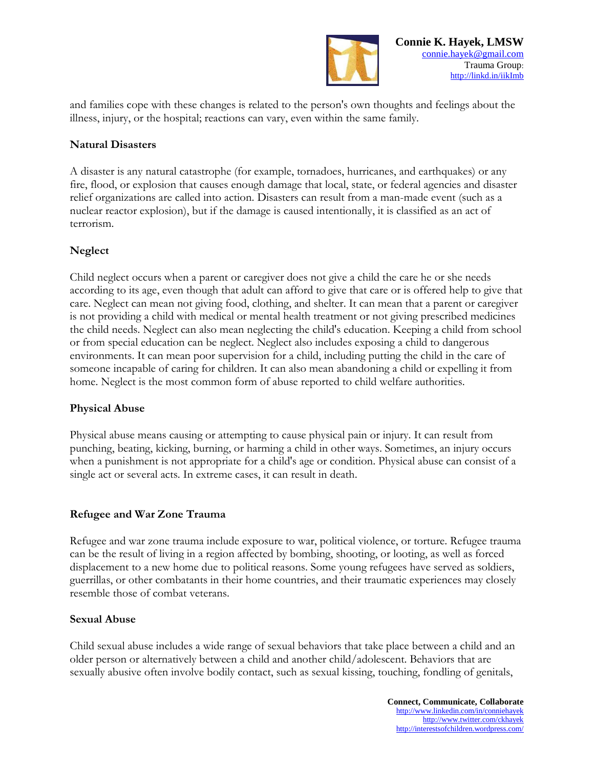

and families cope with these changes is related to the person's own thoughts and feelings about the illness, injury, or the hospital; reactions can vary, even within the same family.

#### **Natural Disasters**

A disaster is any natural catastrophe (for example, tornadoes, hurricanes, and earthquakes) or any fire, flood, or explosion that causes enough damage that local, state, or federal agencies and disaster relief organizations are called into action. Disasters can result from a man-made event (such as a nuclear reactor explosion), but if the damage is caused intentionally, it is classified as an act of terrorism.

#### **Neglect**

Child neglect occurs when a parent or caregiver does not give a child the care he or she needs according to its age, even though that adult can afford to give that care or is offered help to give that care. Neglect can mean not giving food, clothing, and shelter. It can mean that a parent or caregiver is not providing a child with medical or mental health treatment or not giving prescribed medicines the child needs. Neglect can also mean neglecting the child's education. Keeping a child from school or from special education can be neglect. Neglect also includes exposing a child to dangerous environments. It can mean poor supervision for a child, including putting the child in the care of someone incapable of caring for children. It can also mean abandoning a child or expelling it from home. Neglect is the most common form of abuse reported to child welfare authorities.

#### **Physical Abuse**

Physical abuse means causing or attempting to cause physical pain or injury. It can result from punching, beating, kicking, burning, or harming a child in other ways. Sometimes, an injury occurs when a punishment is not appropriate for a child's age or condition. Physical abuse can consist of a single act or several acts. In extreme cases, it can result in death.

#### **Refugee and War Zone Trauma**

Refugee and war zone trauma include exposure to war, political violence, or torture. Refugee trauma can be the result of living in a region affected by bombing, shooting, or looting, as well as forced displacement to a new home due to political reasons. Some young refugees have served as soldiers, guerrillas, or other combatants in their home countries, and their traumatic experiences may closely resemble those of combat veterans.

#### **Sexual Abuse**

Child sexual abuse includes a wide range of sexual behaviors that take place between a child and an older person or alternatively between a child and another child/adolescent. Behaviors that are sexually abusive often involve bodily contact, such as sexual kissing, touching, fondling of genitals,